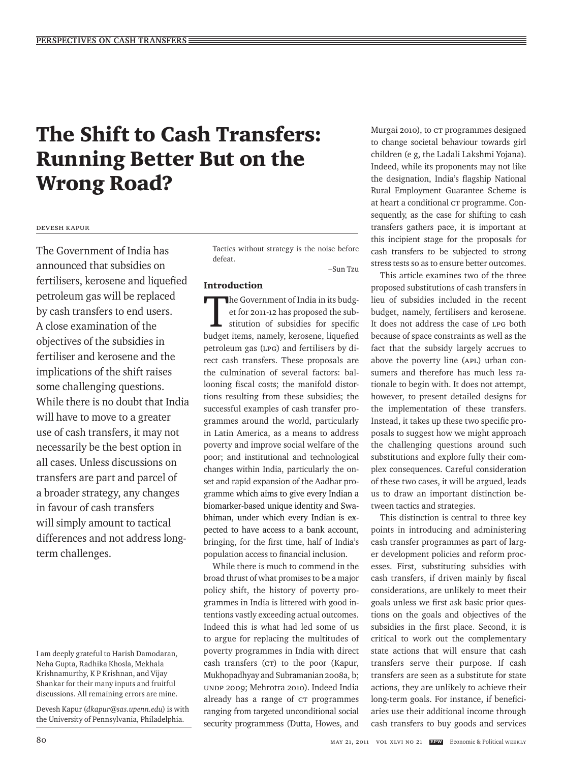# The Shift to Cash Transfers: Running Better But on the Wrong Road?

#### Devesh Kapur

The Government of India has announced that subsidies on fertilisers, kerosene and liquefied petroleum gas will be replaced by cash transfers to end users. A close examination of the objectives of the subsidies in fertiliser and kerosene and the implications of the shift raises some challenging questions. While there is no doubt that India will have to move to a greater use of cash transfers, it may not necessarily be the best option in all cases. Unless discussions on transfers are part and parcel of a broader strategy, any changes in favour of cash transfers will simply amount to tactical differences and not address longterm challenges.

Devesh Kapur (*dkapur@sas.upenn.edu*) is with the University of Pennsylvania, Philadelphia.

Tactics without strategy is the noise before defeat.

–Sun Tzu

# Introduction

The Government of India in its budg-<br>et for 2011-12 has proposed the substitution of subsidies for specific<br>budget items namely known a liquidied et for 2011-12 has proposed the substitution of subsidies for specific budget items, namely, kerosene, liquefied petroleum gas (LPG) and fertilisers by direct cash transfers. These proposals are the culmination of several factors: ballooning fiscal costs; the manifold distortions resulting from these subsidies; the successful examples of cash transfer programmes around the world, particularly in Latin America, as a means to address poverty and improve social welfare of the poor; and institutional and technological changes within India, particularly the onset and rapid expansion of the Aadhar programme which aims to give every Indian a biomarker-based unique identity and Swabhiman, under which every Indian is expected to have access to a bank account, bringing, for the first time, half of India's population access to financial inclusion.

While there is much to commend in the broad thrust of what promises to be a major policy shift, the history of poverty programmes in India is littered with good intentions vastly exceeding actual outcomes. Indeed this is what had led some of us to argue for replacing the multitudes of poverty programmes in India with direct cash transfers (CT) to the poor (Kapur, Mukhopadhyay and Subramanian 2008a, b; UNDP 2009; Mehrotra 2010). Indeed India already has a range of CT programmes ranging from targeted unconditional social security programmess (Dutta, Howes, and

Murgai 2010), to CT programmes designed to change societal behaviour towards girl children (e g, the Ladali Lakshmi Yojana). Indeed, while its proponents may not like the designation, India's flagship National Rural Employment Guarantee Scheme is at heart a conditional cr programme. Consequently, as the case for shifting to cash transfers gathers pace, it is important at this incipient stage for the proposals for cash transfers to be subjected to strong stress tests so as to ensure better outcomes.

This article examines two of the three proposed substitutions of cash transfers in lieu of subsidies included in the recent budget, namely, fertilisers and kerosene. It does not address the case of LPG both because of space constraints as well as the fact that the subsidy largely accrues to above the poverty line (APL) urban consumers and therefore has much less rationale to begin with. It does not attempt, however, to present detailed designs for the implementation of these transfers. Instead, it takes up these two specific proposals to suggest how we might approach the challenging questions around such substitutions and explore fully their complex consequences. Careful consideration of these two cases, it will be argued, leads us to draw an important distinction between tactics and strategies.

This distinction is central to three key points in introducing and administering cash transfer programmes as part of larger development policies and reform processes. First, substituting subsidies with cash transfers, if driven mainly by fiscal considerations, are unlikely to meet their goals unless we first ask basic prior questions on the goals and objectives of the subsidies in the first place. Second, it is critical to work out the complementary state actions that will ensure that cash transfers serve their purpose. If cash transfers are seen as a substitute for state actions, they are unlikely to achieve their long-term goals. For instance, if beneficiaries use their additional income through cash transfers to buy goods and services

I am deeply grateful to Harish Damodaran, Neha Gupta, Radhika Khosla, Mekhala Krishnamurthy, K P Krishnan, and Vijay Shankar for their many inputs and fruitful discussions. All remaining errors are mine.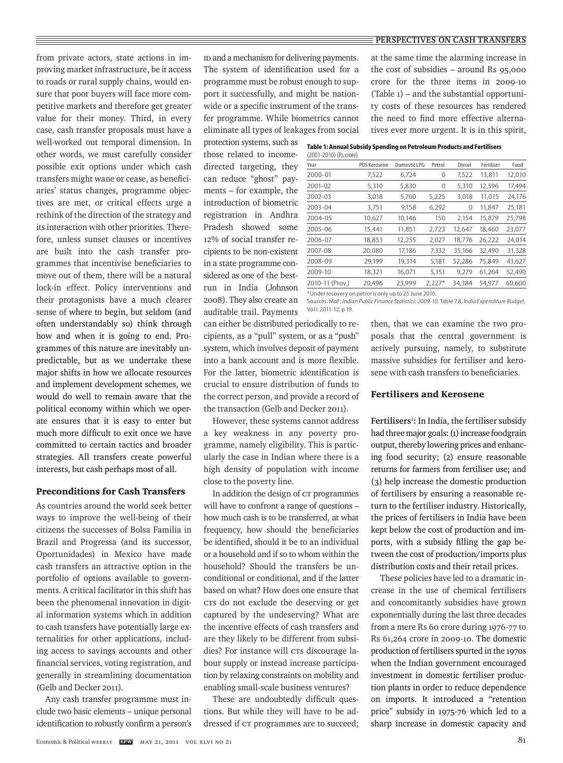from private actors, state actions in improving market infrastructure, be it access to roads or rural supply chains, would ensure that poor buyers will face more competitive markets and therefore get greater value for their money. Third, in every case, cash transfer proposals must have a well-worked out temporal dimension. In other words, we must carefully consider possible exit options under which cash transfers might wane or cease, as beneficiaries' status changes, programme objectives are met, or critical effects urge a rethink of the direction of the strategy and its interaction with other priorities. Therefore, unless sunset clauses or incentives are built into the cash transfer programmes that incentivise beneficiaries to move out of them, there will be a natural lock-in effect. Policy interventions and their protagonists have a much clearer sense of where to begin, but seldom (and often understandably so) think through how and when it is going to end. Programmes of this nature are inevitably unpredictable, but as we undertake these major shifts in how we allocate resources and implement development schemes, we would do well to remain aware that the political economy within which we operate ensures that it is easy to enter but much more difficult to exit once we have committed to certain tactics and broader strategies. All transfers create powerful interests, but cash perhaps most of all.

## Preconditions for Cash Transfers

As countries around the world seek better ways to improve the well-being of their citizens the successes of Bolsa Familia in Brazil and Progressa (and its successor, Oportunidades) in Mexico have made cash transfers an attractive option in the portfolio of options available to governments. A critical facilitator in this shift has been the phenomenal innovation in digital information systems which in addition to cash transfers have potentially large externalities for other applications, including access to savings accounts and other financial services, voting registration, and generally in streamlining documentation (Gelb and Decker 2011).

Any cash transfer programme must include two basic elements – unique personal identification to robustly confirm a person's ID and a mechanism for delivering payments. The system of identification used for a programme must be robust enough to support it successfully, and might be nationwide or a specific instrument of the transfer programme. While biometrics cannot eliminate all types of leakages from social

protection systems, such as those related to incomedirected targeting, they can reduce "ghost" payments – for example, the introduction of biometric registration in Andhra Pradesh showed some 12% of social transfer recipients to be non-existent in a state programme considered as one of the bestrun in India (Johnson 2008). They also create an auditable trail. Payments

can either be distributed periodically to recipients, as a "pull" system, or as a "push" system, which involves deposit of payment into a bank account and is more flexible. For the latter, biometric identification is crucial to ensure distribution of funds to the correct person, and provide a record of the transaction (Gelb and Decker 2011).

However, these systems cannot address a key weakness in any poverty programme, namely eligibility. This is particularly the case in Indian where there is a high density of population with income close to the poverty line.

In addition the design of CT programmes will have to confront a range of questions – how much cash is to be transferred, at what frequency, how should the beneficiaries be identified, should it be to an individual or a household and if so to whom within the household? Should the transfers be unconditional or conditional, and if the latter based on what? How does one ensure that CTs do not exclude the deserving or get captured by the undeserving? What are the incentive effects of cash transfers and are they likely to be different from subsidies? For instance will CTs discourage labour supply or instead increase participation by relaxing constraints on mobility and enabling small-scale business ventures?

These are undoubtedly difficult questions. But while they will have to be addressed if  $cr$  programmes are to succeed;

at the same time the alarming increase in the cost of subsidies – around Rs 95,000 crore for the three items in 2009-10 (Table 1) – and the substantial opportunity costs of these resources has rendered the need to find more effective alternatives ever more urgent. It is in this spirit,

| Table 1: Annual Subsidy Spending on Petroleum Products and Fertilisers |
|------------------------------------------------------------------------|
| $(2001 - 2010)$ (Rs crore)                                             |

| , = 0 0 : = 0 : 0 ; , : : 0 : 0 : 0 : 0 ; |              |              |          |        |            |        |
|-------------------------------------------|--------------|--------------|----------|--------|------------|--------|
| Year                                      | PDS Kerosene | Domestic LPG | Petrol   | Diesel | Fertiliser | Food   |
| 2000-01                                   | 7,522        | 6,724        | 0        | 7,522  | 13,811     | 12,010 |
| 2001-02                                   | 5,310        | 5,830        | 0        | 5,310  | 12,596     | 17,494 |
| 2002-03                                   | 3,018        | 5,760        | 5,225    | 3,018  | 11,015     | 24,176 |
| 2003-04                                   | 3,751        | 9,158        | 6,292    | 0      | 11,847     | 25,181 |
| 2004-05                                   | 10,627       | 10,146       | 150      | 2,154  | 15,879     | 25,798 |
| 2005-06                                   | 15,441       | 11,851       | 2,723    | 12,647 | 18,460     | 23,077 |
| 2006-07                                   | 18,853       | 12,255       | 2,027    | 18,776 | 26,222     | 24,014 |
| 2007-08                                   | 20,080       | 17,186       | 7,332    | 35,166 | 32,490     | 31,328 |
| 2008-09                                   | 29,199       | 19,314       | 5,181    | 52,286 | 75,849     | 43,627 |
| 2009-10                                   | 18,321       | 16,071       | 5,151    | 9.279  | 61,264     | 52,490 |
| 2010-11 (Prov.)                           | 20,496       | 23,999       | $2,227*$ | 34,384 | 54,977     | 60,600 |
|                                           |              |              |          |        |            |        |

\*Under recovery on petrol is only up to 25 June 2010.

Sources: MoF; *Indian Public Finance Statistics: 2009-10*, Table 7.8, *India Expenditure Budget*, Vol I: 2011-12, p 19.

> then, that we can examine the two proposals that the central government is actively pursuing, namely, to substitute massive subsidies for fertiliser and kerosene with cash transfers to beneficiaries.

#### Fertilisers and Kerosene

Fertilisers<sup>1</sup>: In India, the fertiliser subsidy had three major goals: (1) increase foodgrain output, thereby lowering prices and enhancing food security; (2) ensure reasonable returns for farmers from fertiliser use; and (3) help increase the domestic production of fertilisers by ensuring a reasonable return to the fertiliser industry. Historically, the prices of fertilisers in India have been kept below the cost of production and imports, with a subsidy filling the gap between the cost of production/imports plus distribution costs and their retail prices.

These policies have led to a dramatic increase in the use of chemical fertilisers and concomitantly subsidies have grown exponentially during the last three decades from a mere Rs 60 crore during 1976-77 to Rs 61,264 crore in 2009-10. The domestic production of fertilisers spurted in the 1970s when the Indian government encouraged investment in domestic fertiliser production plants in order to reduce dependence on imports. It introduced a "retention price" subsidy in 1975-76 which led to a sharp increase in domestic capacity and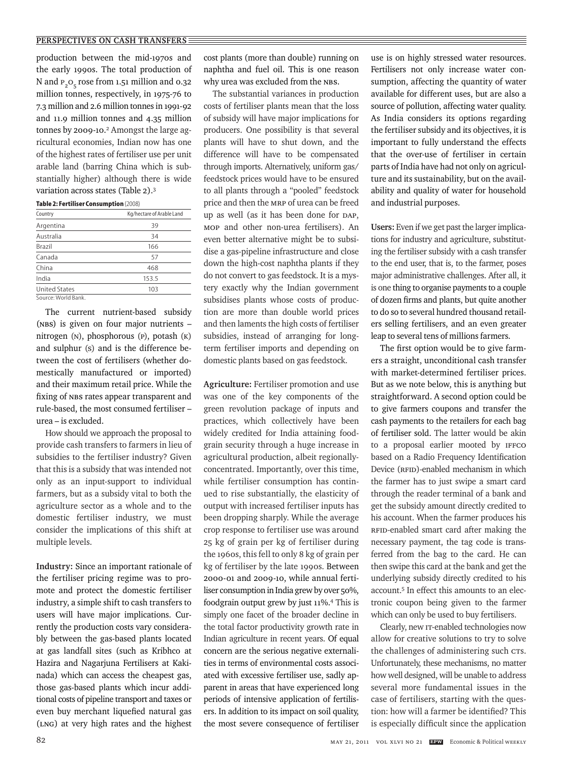#### **PERSPECTIVES ON CASH TRANSFERS**

production between the mid-1970s and the early 1990s. The total production of N and P<sub>2</sub>O<sub>-</sub> rose from 1.51 million and 0.32 million tonnes, respectively, in 1975-76 to 7.3 million and 2.6 million tonnes in 1991-92 and 11.9 million tonnes and 4.35 million tonnes by 2009-10.<sup>2</sup> Amongst the large agricultural economies, Indian now has one of the highest rates of fertiliser use per unit arable land (barring China which is substantially higher) although there is wide variation across states (Table 2).3

| Table 2: Fertiliser Consumption (2008) |                           |  |  |  |
|----------------------------------------|---------------------------|--|--|--|
| Country                                | Kg/hectare of Arable Land |  |  |  |
| Argentina                              | 39                        |  |  |  |
| Australia                              | 34                        |  |  |  |
| <b>Brazil</b>                          | 166                       |  |  |  |
| Canada                                 | 57                        |  |  |  |
| China                                  | 468                       |  |  |  |
| India                                  | 153.5                     |  |  |  |
| <b>United States</b>                   | 103                       |  |  |  |
| Source: World Bank.                    |                           |  |  |  |

The current nutrient-based subsidy (NBS) is given on four major nutrients – nitrogen (N), phosphorous (P), potash (K) and sulphur (S) and is the difference between the cost of fertilisers (whether domestically manufactured or imported) and their maximum retail price. While the fixing of NBS rates appear transparent and rule-based, the most consumed fertiliser – urea – is excluded.

How should we approach the proposal to provide cash transfers to farmers in lieu of subsidies to the fertiliser industry? Given that this is a subsidy that was intended not only as an input-support to individual farmers, but as a subsidy vital to both the agriculture sector as a whole and to the domestic fertiliser industry, we must consider the implications of this shift at multiple levels.

**Industry:** Since an important rationale of the fertiliser pricing regime was to promote and protect the domestic fertiliser industry, a simple shift to cash transfers to users will have major implications. Currently the production costs vary considerably between the gas-based plants located at gas landfall sites (such as Kribhco at Hazira and Nagarjuna Fertilisers at Kakinada) which can access the cheapest gas, those gas-based plants which incur additional costs of pipeline transport and taxes or even buy merchant liquefied natural gas (LNG) at very high rates and the highest

cost plants (more than double) running on naphtha and fuel oil. This is one reason why urea was excluded from the NBS.

The substantial variances in production costs of fertiliser plants mean that the loss of subsidy will have major implications for producers. One possibility is that several plants will have to shut down, and the difference will have to be compensated through imports. Alternatively, uniform gas/ feedstock prices would have to be ensured to all plants through a "pooled" feedstock price and then the MRP of urea can be freed up as well (as it has been done for DAP, MOP and other non-urea fertilisers). An even better alternative might be to subsidise a gas-pipeline infrastructure and close down the high-cost naphtha plants if they do not convert to gas feedstock. It is a mystery exactly why the Indian government subsidises plants whose costs of production are more than double world prices and then laments the high costs of fertiliser subsidies, instead of arranging for longterm fertiliser imports and depending on domestic plants based on gas feedstock.

**Agriculture:** Fertiliser promotion and use was one of the key components of the green revolution package of inputs and practices, which collectively have been widely credited for India attaining foodgrain security through a huge increase in agricultural production, albeit regionallyconcentrated. Importantly, over this time, while fertiliser consumption has continued to rise substantially, the elasticity of output with increased fertiliser inputs has been dropping sharply. While the average crop response to fertiliser use was around 25 kg of grain per kg of fertiliser during the 1960s, this fell to only 8 kg of grain per kg of fertiliser by the late 1990s. Between 2000-01 and 2009-10, while annual fertiliser consumption in India grew by over 50%, foodgrain output grew by just 11%.4 This is simply one facet of the broader decline in the total factor productivity growth rate in Indian agriculture in recent years. Of equal concern are the serious negative externalities in terms of environmental costs associated with excessive fertiliser use, sadly apparent in areas that have experienced long periods of intensive application of fertilisers. In addition to its impact on soil quality, the most severe consequence of fertiliser use is on highly stressed water resources. Fertilisers not only increase water consumption, affecting the quantity of water available for different uses, but are also a source of pollution, affecting water quality. As India considers its options regarding the fertiliser subsidy and its objectives, it is important to fully understand the effects that the over-use of fertiliser in certain parts of India have had not only on agriculture and its sustainability, but on the availability and quality of water for household and industrial purposes.

**Users:** Even if we get past the larger implications for industry and agriculture, substituting the fertiliser subsidy with a cash transfer to the end user, that is, to the farmer, poses major administrative challenges. After all, it is one thing to organise payments to a couple of dozen firms and plants, but quite another to do so to several hundred thousand retailers selling fertilisers, and an even greater leap to several tens of millions farmers.

The first option would be to give farmers a straight, unconditional cash transfer with market-determined fertiliser prices. But as we note below, this is anything but straightforward. A second option could be to give farmers coupons and transfer the cash payments to the retailers for each bag of fertiliser sold. The latter would be akin to a proposal earlier mooted by IFFCO based on a Radio Frequency Identification Device (RFID)-enabled mechanism in which the farmer has to just swipe a smart card through the reader terminal of a bank and get the subsidy amount directly credited to his account. When the farmer produces his RFID-enabled smart card after making the necessary payment, the tag code is transferred from the bag to the card. He can then swipe this card at the bank and get the underlying subsidy directly credited to his account.5 In effect this amounts to an electronic coupon being given to the farmer which can only be used to buy fertilisers.

Clearly, new IT-enabled technologies now allow for creative solutions to try to solve the challenges of administering such CTs. Unfortunately, these mechanisms, no matter how well designed, will be unable to address several more fundamental issues in the case of fertilisers, starting with the question: how will a farmer be identified? This is especially difficult since the application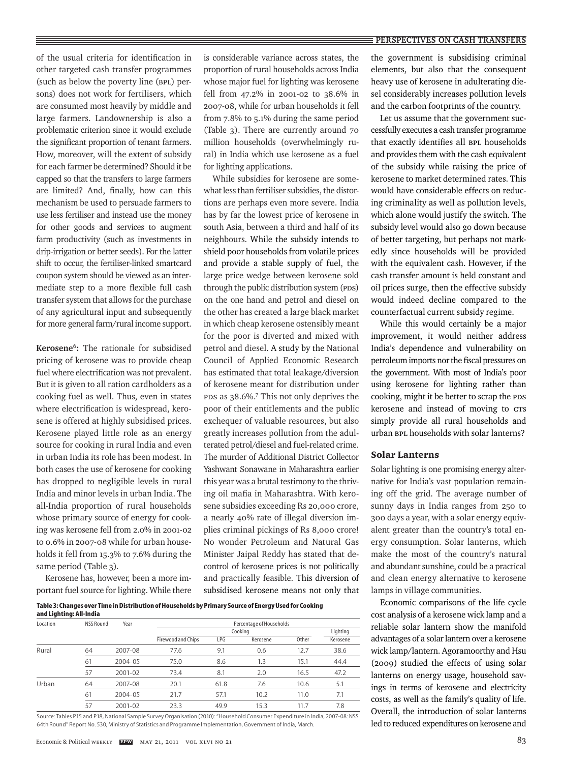#### **PERSPECTIVES ON CASH TRANSFERS**

of the usual criteria for identification in other targeted cash transfer programmes (such as below the poverty line (BPL) persons) does not work for fertilisers, which are consumed most heavily by middle and large farmers. Landownership is also a problematic criterion since it would exclude the significant proportion of tenant farmers. How, moreover, will the extent of subsidy for each farmer be determined? Should it be capped so that the transfers to large farmers are limited? And, finally, how can this mechanism be used to persuade farmers to use less fertiliser and instead use the money for other goods and services to augment farm productivity (such as investments in drip-irrigation or better seeds). For the latter shift to occur, the fertiliser-linked smartcard coupon system should be viewed as an intermediate step to a more flexible full cash transfer system that allows for the purchase of any agricultural input and subsequently for more general farm/rural income support.

**Kerosene**<sup>6</sup>**:** The rationale for subsidised pricing of kerosene was to provide cheap fuel where electrification was not prevalent. But it is given to all ration cardholders as a cooking fuel as well. Thus, even in states where electrification is widespread, kerosene is offered at highly subsidised prices. Kerosene played little role as an energy source for cooking in rural India and even in urban India its role has been modest. In both cases the use of kerosene for cooking has dropped to negligible levels in rural India and minor levels in urban India. The all-India proportion of rural households whose primary source of energy for cooking was kerosene fell from 2.0% in 2001-02 to 0.6% in 2007-08 while for urban households it fell from 15.3% to 7.6% during the same period (Table 3).

Kerosene has, however, been a more important fuel source for lighting. While there is considerable variance across states, the proportion of rural households across India whose major fuel for lighting was kerosene fell from 47.2% in 2001-02 to 38.6% in 2007-08, while for urban households it fell from 7.8% to 5.1% during the same period (Table 3). There are currently around 70 million households (overwhelmingly rural) in India which use kerosene as a fuel for lighting applications.

While subsidies for kerosene are somewhat less than fertiliser subsidies, the distortions are perhaps even more severe. India has by far the lowest price of kerosene in south Asia, between a third and half of its neighbours. While the subsidy intends to shield poor households from volatile prices and provide a stable supply of fuel, the large price wedge between kerosene sold through the public distribution system (PDS) on the one hand and petrol and diesel on the other has created a large black market in which cheap kerosene ostensibly meant for the poor is diverted and mixed with petrol and diesel. A study by the National Council of Applied Economic Research has estimated that total leakage/diversion of kerosene meant for distribution under PDS as 38.6%.7 This not only deprives the poor of their entitlements and the public exchequer of valuable resources, but also greatly increases pollution from the adulterated petrol/diesel and fuel-related crime. The murder of Additional District Collector Yashwant Sonawane in Maharashtra earlier this year was a brutal testimony to the thriving oil mafia in Maharashtra. With kerosene subsidies exceeding Rs 20,000 crore, a nearly 40% rate of illegal diversion implies criminal pickings of Rs 8,000 crore! No wonder Petroleum and Natural Gas Minister Jaipal Reddy has stated that decontrol of kerosene prices is not politically and practically feasible. This diversion of subsidised kerosene means not only that

**Table 3: Changes over Time in Distribution of Households by Primary Source of Energy Used for Cooking and Lighting: All-India** 

| unu signung, an munu<br>Location | <b>NSS Round</b> | Year    | Percentage of Households |          |          |       |          |  |
|----------------------------------|------------------|---------|--------------------------|----------|----------|-------|----------|--|
|                                  |                  |         |                          | Lighting |          |       |          |  |
|                                  |                  |         | Firewood and Chips       | LPG      | Kerosene | Other | Kerosene |  |
| Rural                            | 64               | 2007-08 | 77.6                     | 9.1      | 0.6      | 12.7  | 38.6     |  |
|                                  | 61               | 2004-05 | 75.0                     | 8.6      | 1.3      | 15.1  | 44.4     |  |
|                                  | 57               | 2001-02 | 73.4                     | 8.1      | 2.0      | 16.5  | 47.2     |  |
| Urban                            | 64               | 2007-08 | 20.1                     | 61.8     | 7.6      | 10.6  | 5.1      |  |
|                                  | 61               | 2004-05 | 21.7                     | 57.1     | 10.2     | 11.0  | 7.1      |  |
|                                  | 57               | 2001-02 | 23.3                     | 49.9     | 15.3     | 11.7  | 7.8      |  |

Source: Tables P15 and P18, National Sample Survey Organisation (2010): "Household Consumer Expenditure in India, 2007-08: NSS 64th Round" Report No. 530, Ministry of Statistics and Programme Implementation, Government of India, March.

the government is subsidising criminal elements, but also that the consequent heavy use of kerosene in adulterating diesel considerably increases pollution levels and the carbon footprints of the country.

Let us assume that the government successfully executes a cash transfer programme that exactly identifies all BPL households and provides them with the cash equivalent of the subsidy while raising the price of kerosene to market determined rates. This would have considerable effects on reducing criminality as well as pollution levels, which alone would justify the switch. The subsidy level would also go down because of better targeting, but perhaps not markedly since households will be provided with the equivalent cash. However, if the cash transfer amount is held constant and oil prices surge, then the effective subsidy would indeed decline compared to the counterfactual current subsidy regime.

While this would certainly be a major improvement, it would neither address India's dependence and vulnerability on petroleum imports nor the fiscal pressures on the government. With most of India's poor using kerosene for lighting rather than cooking, might it be better to scrap the PDS kerosene and instead of moving to CTs simply provide all rural households and urban BPL households with solar lanterns?

## Solar Lanterns

Solar lighting is one promising energy alternative for India's vast population remaining off the grid. The average number of sunny days in India ranges from 250 to 300 days a year, with a solar energy equivalent greater than the country's total energy consumption. Solar lanterns, which make the most of the country's natural and abundant sunshine, could be a practical and clean energy alternative to kerosene lamps in village communities.

Economic comparisons of the life cycle cost analysis of a kerosene wick lamp and a reliable solar lantern show the manifold advantages of a solar lantern over a kerosene wick lamp/lantern. Agoramoorthy and Hsu (2009) studied the effects of using solar lanterns on energy usage, household savings in terms of kerosene and electricity costs, as well as the family's quality of life. Overall, the introduction of solar lanterns led to reduced expenditures on kerosene and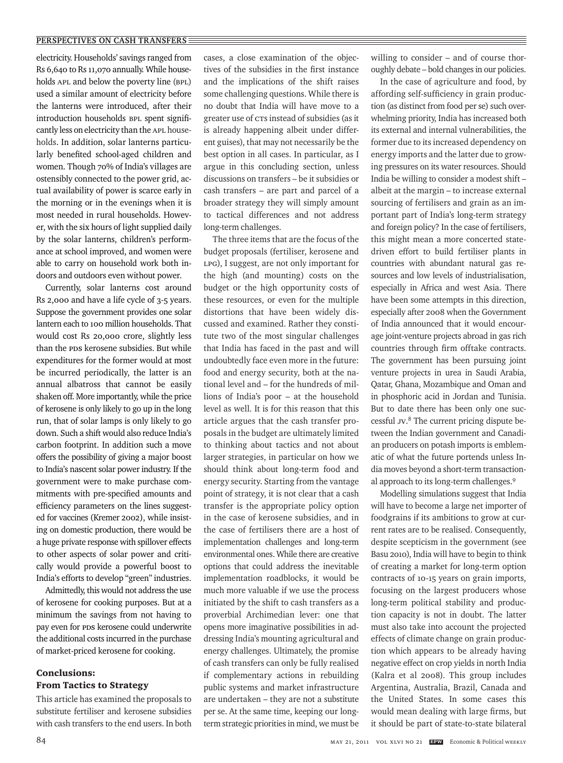electricity. Households' savings ranged from Rs 6,640 to Rs 11,070 annually. While households APL and below the poverty line (BPL) used a similar amount of electricity before the lanterns were introduced, after their introduction households BPL spent significantly less on electricity than the APL households. In addition, solar lanterns particularly benefited school-aged children and women. Though 70% of India's villages are ostensibly connected to the power grid, actual availability of power is scarce early in the morning or in the evenings when it is most needed in rural households. However, with the six hours of light supplied daily by the solar lanterns, children's performance at school improved, and women were able to carry on household work both indoors and outdoors even without power.

Currently, solar lanterns cost around Rs 2,000 and have a life cycle of 3-5 years. Suppose the government provides one solar lantern each to 100 million households. That would cost Rs 20,000 crore, slightly less than the PDS kerosene subsidies. But while expenditures for the former would at most be incurred periodically, the latter is an annual albatross that cannot be easily shaken off. More importantly, while the price of kerosene is only likely to go up in the long run, that of solar lamps is only likely to go down. Such a shift would also reduce India's carbon footprint. In addition such a move offers the possibility of giving a major boost to India's nascent solar power industry. If the government were to make purchase commitments with pre-specified amounts and efficiency parameters on the lines suggested for vaccines (Kremer 2002), while insisting on domestic production, there would be a huge private response with spillover effects to other aspects of solar power and critically would provide a powerful boost to India's efforts to develop "green" industries.

Admittedly, this would not address the use of kerosene for cooking purposes. But at a minimum the savings from not having to pay even for PDS kerosene could underwrite the additional costs incurred in the purchase of market-priced kerosene for cooking.

# Conclusions: From Tactics to Strategy

This article has examined the proposals to substitute fertiliser and kerosene subsidies with cash transfers to the end users. In both

cases, a close examination of the objectives of the subsidies in the first instance and the implications of the shift raises some challenging questions. While there is no doubt that India will have move to a greater use of CTs instead of subsidies (as it is already happening albeit under different guises), that may not necessarily be the best option in all cases. In particular, as I argue in this concluding section, unless discussions on transfers – be it subsidies or cash transfers – are part and parcel of a broader strategy they will simply amount to tactical differences and not address long-term challenges.

The three items that are the focus of the budget proposals (fertiliser, kerosene and LPG), I suggest, are not only important for the high (and mounting) costs on the budget or the high opportunity costs of these resources, or even for the multiple distortions that have been widely discussed and examined. Rather they constitute two of the most singular challenges that India has faced in the past and will undoubtedly face even more in the future: food and energy security, both at the national level and – for the hundreds of millions of India's poor – at the household level as well. It is for this reason that this article argues that the cash transfer proposals in the budget are ultimately limited to thinking about tactics and not about larger strategies, in particular on how we should think about long-term food and energy security. Starting from the vantage point of strategy, it is not clear that a cash transfer is the appropriate policy option in the case of kerosene subsidies, and in the case of fertilisers there are a host of implementation challenges and long-term environmental ones. While there are creative options that could address the inevitable implementation roadblocks, it would be much more valuable if we use the process initiated by the shift to cash transfers as a proverbial Archimedian lever: one that opens more imaginative possibilities in addressing India's mounting agricultural and energy challenges. Ultimately, the promise of cash transfers can only be fully realised if complementary actions in rebuilding public systems and market infrastructure are undertaken – they are not a substitute per se. At the same time, keeping our longterm strategic priorities in mind, we must be willing to consider – and of course thoroughly debate – bold changes in our policies.

In the case of agriculture and food, by affording self-sufficiency in grain production (as distinct from food per se) such overwhelming priority, India has increased both its external and internal vulnerabilities, the former due to its increased dependency on energy imports and the latter due to growing pressures on its water resources. Should India be willing to consider a modest shift – albeit at the margin – to increase external sourcing of fertilisers and grain as an important part of India's long-term strategy and foreign policy? In the case of fertilisers, this might mean a more concerted statedriven effort to build fertiliser plants in countries with abundant natural gas resources and low levels of industrialisation, especially in Africa and west Asia. There have been some attempts in this direction, especially after 2008 when the Government of India announced that it would encourage joint-venture projects abroad in gas rich countries through firm offtake contracts. The government has been pursuing joint venture projects in urea in Saudi Arabia, Qatar, Ghana, Mozambique and Oman and in phosphoric acid in Jordan and Tunisia. But to date there has been only one successful JV. 8 The current pricing dispute between the Indian government and Canadian producers on potash imports is emblematic of what the future portends unless India moves beyond a short-term transactional approach to its long-term challenges.9

Modelling simulations suggest that India will have to become a large net importer of foodgrains if its ambitions to grow at current rates are to be realised. Consequently, despite scepticism in the government (see Basu 2010), India will have to begin to think of creating a market for long-term option contracts of 10-15 years on grain imports, focusing on the largest producers whose long-term political stability and production capacity is not in doubt. The latter must also take into account the projected effects of climate change on grain production which appears to be already having negative effect on crop yields in north India (Kalra et al 2008). This group includes Argentina, Australia, Brazil, Canada and the United States. In some cases this would mean dealing with large firms, but it should be part of state-to-state bilateral